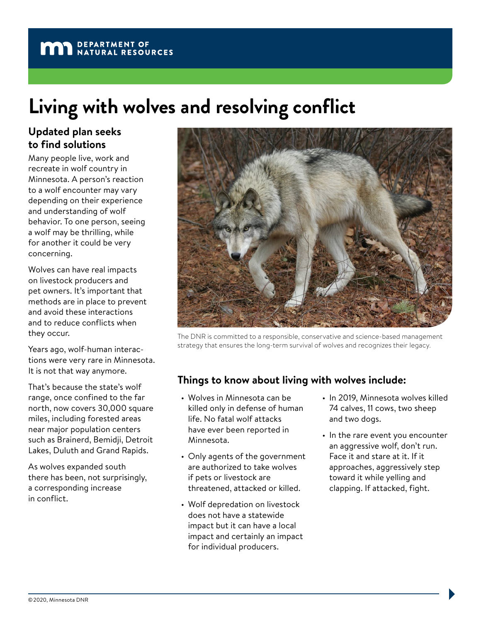## **MAN** DEPARTMENT OF NATURAL RESOURCES

# **Living with wolves and resolving conflict**

### **Updated plan seeks to find solutions**

Many people live, work and recreate in wolf country in Minnesota. A person's reaction to a wolf encounter may vary depending on their experience and understanding of wolf behavior. To one person, seeing a wolf may be thrilling, while for another it could be very concerning.

Wolves can have real impacts on livestock producers and pet owners. It's important that methods are in place to prevent and avoid these interactions and to reduce conflicts when they occur.

Years ago, wolf-human interactions were very rare in Minnesota. It is not that way anymore.

That's because the state's wolf range, once confined to the far north, now covers 30,000 square miles, including forested areas near major population centers such as Brainerd, Bemidji, Detroit Lakes, Duluth and Grand Rapids.

As wolves expanded south there has been, not surprisingly, a corresponding increase in conflict.



The DNR is committed to a responsible, conservative and science-based management strategy that ensures the long-term survival of wolves and recognizes their legacy.

#### **Things to know about living with wolves include:**

- Wolves in Minnesota can be killed only in defense of human life. No fatal wolf attacks have ever been reported in Minnesota.
- Only agents of the government are authorized to take wolves if pets or livestock are threatened, attacked or killed.
- Wolf depredation on livestock does not have a statewide impact but it can have a local impact and certainly an impact for individual producers.
- In 2019, Minnesota wolves killed 74 calves, 11 cows, two sheep and two dogs.
- In the rare event you encounter an aggressive wolf, don't run. Face it and stare at it. If it approaches, aggressively step toward it while yelling and clapping. If attacked, fight.